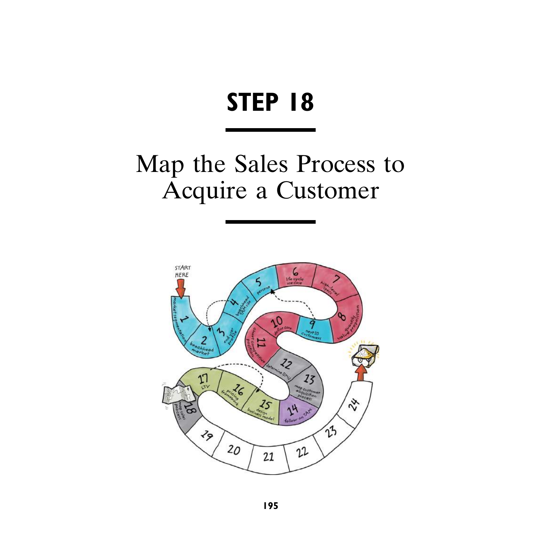# STEP 18

# Map the Sales Process to Acquire a Customer

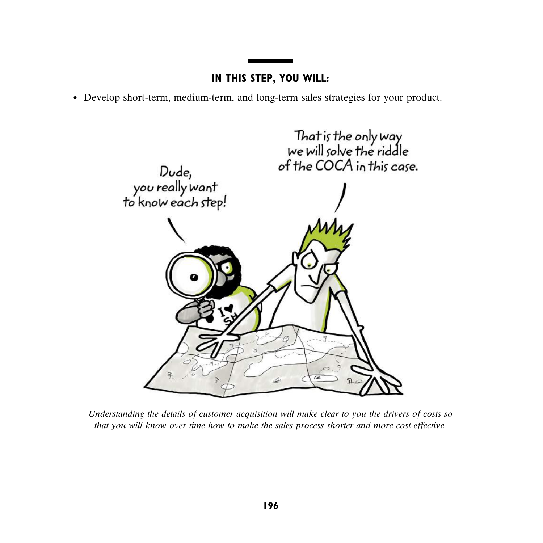## IN THIS STEP, YOU WILL:

• Develop short-term, medium-term, and long-term sales strategies for your product.



Understanding the details of customer acquisition will make clear to you the drivers of costs so that you will know over time how to make the sales process shorter and more cost-effective.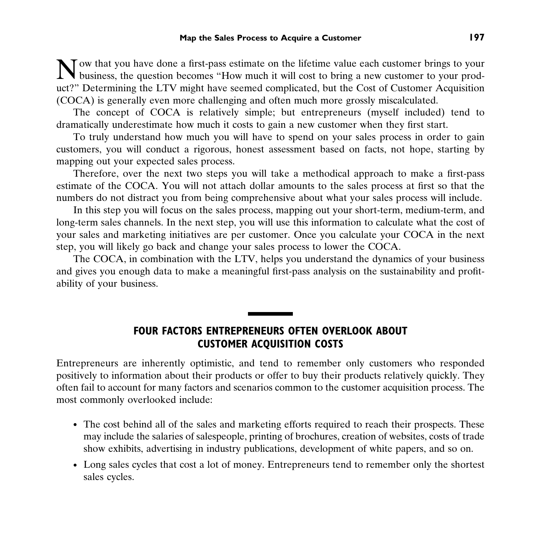#### Map the Sales Process to Acquire a Customer 197

Now that you have done a first-pass estimate on the lifetime value each customer brings to your prod-<br>business, the question becomes "How much it will cost to bring a new customer to your product?" Determining the LTV might have seemed complicated, but the Cost of Customer Acquisition (COCA) is generally even more challenging and often much more grossly miscalculated.

The concept of COCA is relatively simple; but entrepreneurs (myself included) tend to dramatically underestimate how much it costs to gain a new customer when they first start.

To truly understand how much you will have to spend on your sales process in order to gain customers, you will conduct a rigorous, honest assessment based on facts, not hope, starting by mapping out your expected sales process.

Therefore, over the next two steps you will take a methodical approach to make a first-pass estimate of the COCA. You will not attach dollar amounts to the sales process at first so that the numbers do not distract you from being comprehensive about what your sales process will include.

In this step you will focus on the sales process, mapping out your short-term, medium-term, and long-term sales channels. In the next step, you will use this information to calculate what the cost of your sales and marketing initiatives are per customer. Once you calculate your COCA in the next step, you will likely go back and change your sales process to lower the COCA.

The COCA, in combination with the LTV, helps you understand the dynamics of your business and gives you enough data to make a meaningful first-pass analysis on the sustainability and profitability of your business.

### FOUR FACTORS ENTREPRENEURS OFTEN OVERLOOK ABOUT CUSTOMER ACQUISITION COSTS

Entrepreneurs are inherently optimistic, and tend to remember only customers who responded positively to information about their products or offer to buy their products relatively quickly. They often fail to account for many factors and scenarios common to the customer acquisition process. The most commonly overlooked include:

- The cost behind all of the sales and marketing efforts required to reach their prospects. These may include the salaries of salespeople, printing of brochures, creation of websites, costs of trade show exhibits, advertising in industry publications, development of white papers, and so on.
- Long sales cycles that cost a lot of money. Entrepreneurs tend to remember only the shortest sales cycles.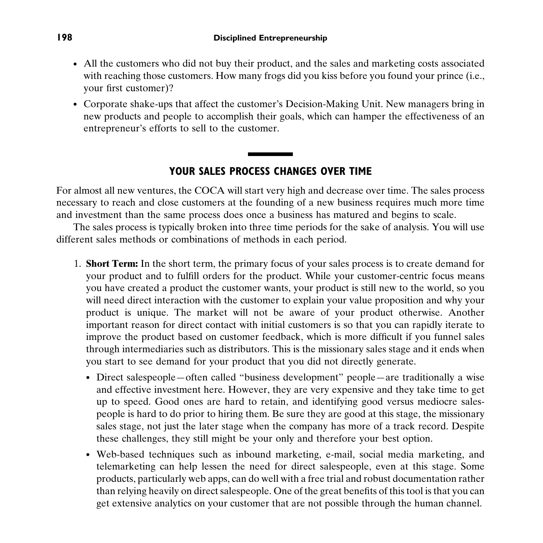- All the customers who did not buy their product, and the sales and marketing costs associated with reaching those customers. How many frogs did you kiss before you found your prince (i.e., your first customer)?
- Corporate shake-ups that affect the customer's Decision-Making Unit. New managers bring in new products and people to accomplish their goals, which can hamper the effectiveness of an entrepreneur's efforts to sell to the customer.

# YOUR SALES PROCESS CHANGES OVER TIME

For almost all new ventures, the COCA will start very high and decrease over time. The sales process necessary to reach and close customers at the founding of a new business requires much more time and investment than the same process does once a business has matured and begins to scale.

The sales process is typically broken into three time periods for the sake of analysis. You will use different sales methods or combinations of methods in each period.

- 1. Short Term: In the short term, the primary focus of your sales process is to create demand for your product and to fulfill orders for the product. While your customer-centric focus means you have created a product the customer wants, your product is still new to the world, so you will need direct interaction with the customer to explain your value proposition and why your product is unique. The market will not be aware of your product otherwise. Another important reason for direct contact with initial customers is so that you can rapidly iterate to improve the product based on customer feedback, which is more difficult if you funnel sales through intermediaries such as distributors. This is the missionary sales stage and it ends when you start to see demand for your product that you did not directly generate.
	- Direct salespeople—often called "business development" people—are traditionally a wise and effective investment here. However, they are very expensive and they take time to get up to speed. Good ones are hard to retain, and identifying good versus mediocre salespeople is hard to do prior to hiring them. Be sure they are good at this stage, the missionary sales stage, not just the later stage when the company has more of a track record. Despite these challenges, they still might be your only and therefore your best option.
	- Web-based techniques such as inbound marketing, e-mail, social media marketing, and telemarketing can help lessen the need for direct salespeople, even at this stage. Some products, particularly web apps, can do well with a free trial and robust documentation rather than relying heavily on direct salespeople. One of the great benefits of this tool is that you can get extensive analytics on your customer that are not possible through the human channel.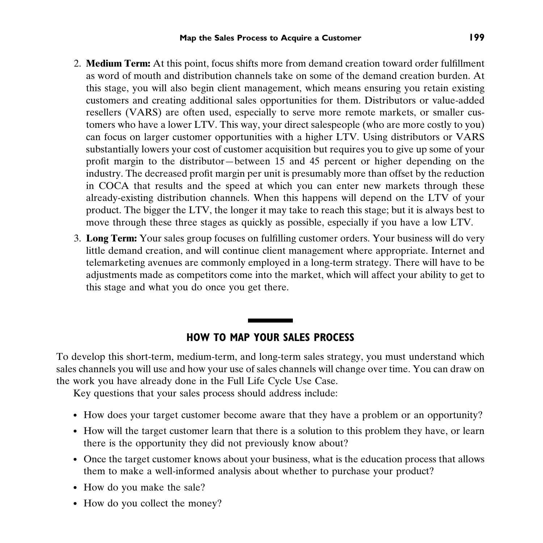- 2. Medium Term: At this point, focus shifts more from demand creation toward order fulfillment as word of mouth and distribution channels take on some of the demand creation burden. At this stage, you will also begin client management, which means ensuring you retain existing customers and creating additional sales opportunities for them. Distributors or value-added resellers (VARS) are often used, especially to serve more remote markets, or smaller customers who have a lower LTV. This way, your direct salespeople (who are more costly to you) can focus on larger customer opportunities with a higher LTV. Using distributors or VARS substantially lowers your cost of customer acquisition but requires you to give up some of your profit margin to the distributor—between 15 and 45 percent or higher depending on the industry. The decreased profit margin per unit is presumably more than offset by the reduction in COCA that results and the speed at which you can enter new markets through these already-existing distribution channels. When this happens will depend on the LTV of your product. The bigger the LTV, the longer it may take to reach this stage; but it is always best to move through these three stages as quickly as possible, especially if you have a low LTV.
- 3. Long Term: Your sales group focuses on fulfilling customer orders. Your business will do very little demand creation, and will continue client management where appropriate. Internet and telemarketing avenues are commonly employed in a long-term strategy. There will have to be adjustments made as competitors come into the market, which will affect your ability to get to this stage and what you do once you get there.

## HOW TO MAP YOUR SALES PROCESS

To develop this short-term, medium-term, and long-term sales strategy, you must understand which sales channels you will use and how your use of sales channels will change over time. You can draw on the work you have already done in the Full Life Cycle Use Case.

Key questions that your sales process should address include:

- How does your target customer become aware that they have a problem or an opportunity?
- How will the target customer learn that there is a solution to this problem they have, or learn there is the opportunity they did not previously know about?
- Once the target customer knows about your business, what is the education process that allows them to make a well-informed analysis about whether to purchase your product?
- How do you make the sale?
- How do you collect the money?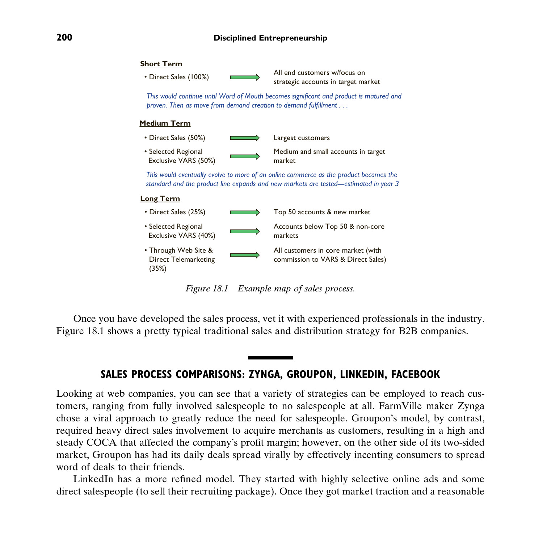#### 200 Disciplined Entrepreneurship



Figure 18.1 Example map of sales process.

Once you have developed the sales process, vet it with experienced professionals in the industry. Figure 18.1 shows a pretty typical traditional sales and distribution strategy for B2B companies.

#### SALES PROCESS COMPARISONS: ZYNGA, GROUPON, LINKEDIN, FACEBOOK

Looking at web companies, you can see that a variety of strategies can be employed to reach customers, ranging from fully involved salespeople to no salespeople at all. FarmVille maker Zynga chose a viral approach to greatly reduce the need for salespeople. Groupon's model, by contrast, required heavy direct sales involvement to acquire merchants as customers, resulting in a high and steady COCA that affected the company's profit margin; however, on the other side of its two-sided market, Groupon has had its daily deals spread virally by effectively incenting consumers to spread word of deals to their friends.

LinkedIn has a more refined model. They started with highly selective online ads and some direct salespeople (to sell their recruiting package). Once they got market traction and a reasonable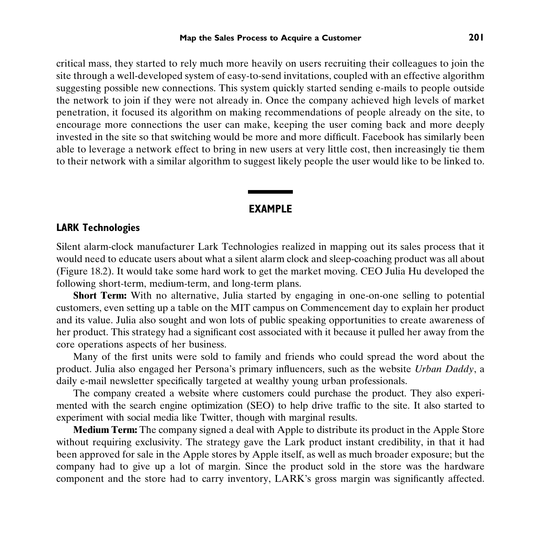critical mass, they started to rely much more heavily on users recruiting their colleagues to join the site through a well-developed system of easy-to-send invitations, coupled with an effective algorithm suggesting possible new connections. This system quickly started sending e-mails to people outside the network to join if they were not already in. Once the company achieved high levels of market penetration, it focused its algorithm on making recommendations of people already on the site, to encourage more connections the user can make, keeping the user coming back and more deeply invested in the site so that switching would be more and more difficult. Facebook has similarly been able to leverage a network effect to bring in new users at very little cost, then increasingly tie them to their network with a similar algorithm to suggest likely people the user would like to be linked to.

### EXAMPLE

#### LARK Technologies

Silent alarm-clock manufacturer Lark Technologies realized in mapping out its sales process that it would need to educate users about what a silent alarm clock and sleep-coaching product was all about (Figure 18.2). It would take some hard work to get the market moving. CEO Julia Hu developed the following short-term, medium-term, and long-term plans.

Short Term: With no alternative, Julia started by engaging in one-on-one selling to potential customers, even setting up a table on the MIT campus on Commencement day to explain her product and its value. Julia also sought and won lots of public speaking opportunities to create awareness of her product. This strategy had a significant cost associated with it because it pulled her away from the core operations aspects of her business.

Many of the first units were sold to family and friends who could spread the word about the product. Julia also engaged her Persona's primary influencers, such as the website Urban Daddy, a daily e-mail newsletter specifically targeted at wealthy young urban professionals.

The company created a website where customers could purchase the product. They also experimented with the search engine optimization (SEO) to help drive traffic to the site. It also started to experiment with social media like Twitter, though with marginal results.

Medium Term: The company signed a deal with Apple to distribute its product in the Apple Store without requiring exclusivity. The strategy gave the Lark product instant credibility, in that it had been approved for sale in the Apple stores by Apple itself, as well as much broader exposure; but the company had to give up a lot of margin. Since the product sold in the store was the hardware component and the store had to carry inventory, LARK's gross margin was significantly affected.